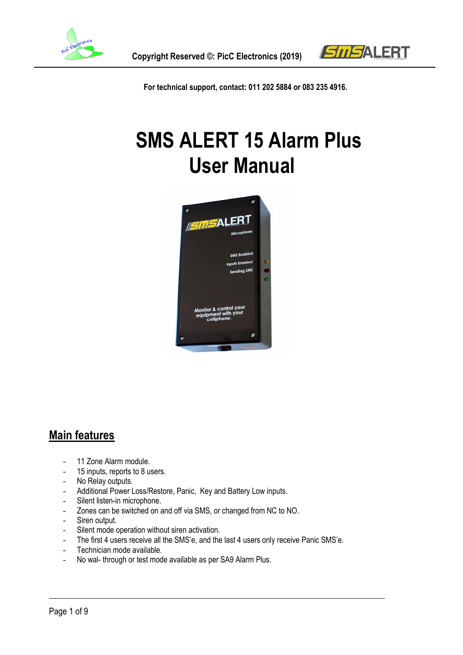



**For technical support, contact: 011 202 5884 or 083 235 4916.**

# **SMS ALERT 15 Alarm Plus User Manual**



## **Main features**

- 11 Zone Alarm module.
- 15 inputs, reports to 8 users.
- No Relay outputs.
- Additional Power Loss/Restore, Panic, Key and Battery Low inputs.
- Silent listen-in microphone.
- Zones can be switched on and off via SMS, or changed from NC to NO.
- Siren output.
- Silent mode operation without siren activation.
- The first 4 users receive all the SMS'e, and the last 4 users only receive Panic SMS'e.
- Technician mode available.
- No wal- through or test mode available as per SA9 Alarm Plus.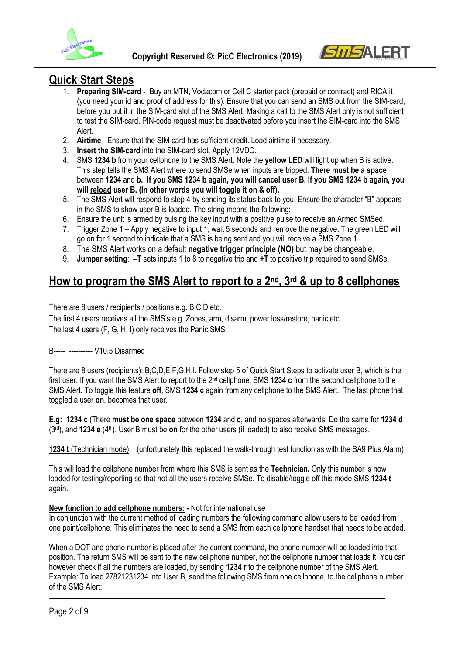



## **Quick Start Steps**

- 1. **Preparing SIM-card** Buy an MTN, Vodacom or Cell C starter pack (prepaid or contract) and RICA it (you need your id and proof of address for this). Ensure that you can send an SMS out from the SIM-card, before you put it in the SIM-card slot of the SMS Alert. Making a call to the SMS Alert only is not sufficient to test the SIM-card. PIN-code request must be deactivated before you insert the SIM-card into the SMS Alert.
- 2. **Airtime** Ensure that the SIM-card has sufficient credit. Load airtime if necessary.
- 3. **Insert the SIM-card** into the SIM-card slot. Apply 12VDC.
- 4. SMS **1234 b** from your cellphone to the SMS Alert. Note the **yellow LED** will light up when B is active. This step tells the SMS Alert where to send SMSe when inputs are tripped. **There must be a space** between **1234** and **b. If you SMS 1234 b again, you will cancel user B. If you SMS 1234 b again, you will reload user B. (In other words you will toggle it on & off).**
- 5. The SMS Alert will respond to step 4 by sending its status back to you. Ensure the character "B" appears in the SMS to show user B is loaded. The string means the following:
- 6. Ensure the unit is armed by pulsing the key input with a positive pulse to receive an Armed SMSed.
- 7. Trigger Zone 1 Apply negative to input 1, wait 5 seconds and remove the negative. The green LED will go on for 1 second to indicate that a SMS is being sent and you will receive a SMS Zone 1.
- 8. The SMS Alert works on a default **negative trigger principle (NO)** but may be changeable.
- 9. **Jumper setting**: **–T** sets inputs 1 to 8 to negative trip and **+T** to positive trip required to send SMSe.

# **How to program the SMS Alert to report to a 2nd, 3rd & up to 8 cellphones**

There are 8 users / recipients / positions e.g. B,C,D etc.

The first 4 users receives all the SMS's e.g. Zones, arm, disarm, power loss/restore, panic etc. The last 4 users (F, G, H, I) only receives the Panic SMS.

#### B----- ---------- V10.5 Disarmed

There are 8 users (recipients): B,C,D,E,F,G,H,I. Follow step 5 of Quick Start Steps to activate user B, which is the first user. If you want the SMS Alert to report to the 2nd cellphone, SMS **1234 c** from the second cellphone to the SMS Alert. To toggle this feature **off**, SMS **1234 c** again from any cellphone to the SMS Alert. The last phone that toggled a user **on**, becomes that user.

**E.g: 1234 c** (There **must be one space** between **1234** and **c**, and no spaces afterwards. Do the same for **1234 d**  (3rd), and **1234 e** (4th). User B must be **on** for the other users (if loaded) to also receive SMS messages.

**1234 t** (Technician mode) (unfortunately this replaced the walk-through test function as with the SA9 Plus Alarm)

This will load the cellphone number from where this SMS is sent as the **Technician.** Only this number is now loaded for testing/reporting so that not all the users receive SMSe. To disable/toggle off this mode SMS **1234 t** again.

#### **New function to add cellphone numbers: -** Not for international use

In conjunction with the current method of loading numbers the following command allow users to be loaded from one point/cellphone. This eliminates the need to send a SMS from each cellphone handset that needs to be added.

When a DOT and phone number is placed after the current command, the phone number will be loaded into that position. The return SMS will be sent to the new cellphone number, not the cellphone number that loads it. You can however check if all the numbers are loaded, by sending **1234 r** to the cellphone number of the SMS Alert. Example: To load 27821231234 into User B, send the following SMS from one cellphone, to the cellphone number of the SMS Alert: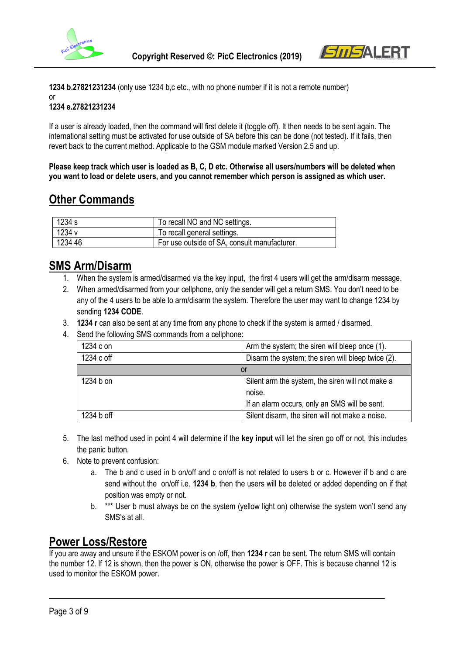



**1234 b.27821231234** (only use 1234 b,c etc., with no phone number if it is not a remote number) or

#### **1234 e.27821231234**

If a user is already loaded, then the command will first delete it (toggle off). It then needs to be sent again. The international setting must be activated for use outside of SA before this can be done (not tested). If it fails, then revert back to the current method. Applicable to the GSM module marked Version 2.5 and up.

**Please keep track which user is loaded as B, C, D etc. Otherwise all users/numbers will be deleted when you want to load or delete users, and you cannot remember which person is assigned as which user.**

# **Other Commands**

| $\frac{1}{234}$ s | To recall NO and NC settings.                |
|-------------------|----------------------------------------------|
| 1234 v            | To recall general settings.                  |
| 123446            | For use outside of SA, consult manufacturer. |

# **SMS Arm/Disarm**

- 1. When the system is armed/disarmed via the key input, the first 4 users will get the arm/disarm message.
- 2. When armed/disarmed from your cellphone, only the sender will get a return SMS. You don't need to be any of the 4 users to be able to arm/disarm the system. Therefore the user may want to change 1234 by sending **1234 CODE**.
- 3. **1234 r** can also be sent at any time from any phone to check if the system is armed / disarmed.
- 4. Send the following SMS commands from a cellphone:

| 1234 c on  | Arm the system; the siren will bleep once (1).     |
|------------|----------------------------------------------------|
| 1234 c off | Disarm the system; the siren will bleep twice (2). |
|            | or                                                 |
| 1234 b on  | Silent arm the system, the siren will not make a   |
|            | noise.                                             |
|            | If an alarm occurs, only an SMS will be sent.      |
| 1234 b off | Silent disarm, the siren will not make a noise.    |

- 5. The last method used in point 4 will determine if the **key input** will let the siren go off or not, this includes the panic button.
- 6. Note to prevent confusion:
	- a. The b and c used in b on/off and c on/off is not related to users b or c. However if b and c are send without the on/off i.e. **1234 b**, then the users will be deleted or added depending on if that position was empty or not.
	- b. \*\*\* User b must always be on the system (yellow light on) otherwise the system won't send any SMS's at all.

# **Power Loss/Restore**

If you are away and unsure if the ESKOM power is on /off, then **1234 r** can be sent. The return SMS will contain the number 12. If 12 is shown, then the power is ON, otherwise the power is OFF. This is because channel 12 is used to monitor the ESKOM power.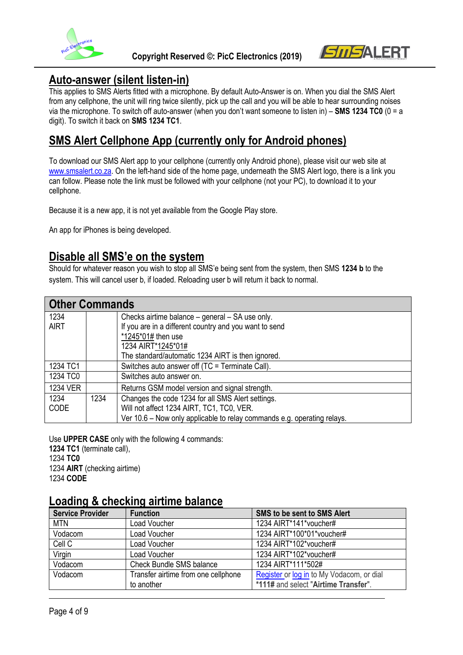



## **Auto-answer (silent listen-in)**

This applies to SMS Alerts fitted with a microphone. By default Auto-Answer is on. When you dial the SMS Alert from any cellphone, the unit will ring twice silently, pick up the call and you will be able to hear surrounding noises via the microphone. To switch off auto-answer (when you don't want someone to listen in) – **SMS 1234 TC0** (0 = a digit). To switch it back on **SMS 1234 TC1**.

## **SMS Alert Cellphone App (currently only for Android phones)**

To download our SMS Alert app to your cellphone (currently only Android phone), please visit our web site at [www.smsalert.co.za.](http://www.smsalert.co.za/) On the left-hand side of the home page, underneath the SMS Alert logo, there is a link you can follow. Please note the link must be followed with your cellphone (not your PC), to download it to your cellphone.

Because it is a new app, it is not yet available from the Google Play store.

An app for iPhones is being developed.

## **Disable all SMS'e on the system**

Should for whatever reason you wish to stop all SMS'e being sent from the system, then SMS **1234 b** to the system. This will cancel user b, if loaded. Reloading user b will return it back to normal.

| <b>Other Commands</b> |      |                                                                         |  |  |
|-----------------------|------|-------------------------------------------------------------------------|--|--|
| 1234                  |      | Checks airtime balance – general – SA use only.                         |  |  |
| <b>AIRT</b>           |      | If you are in a different country and you want to send                  |  |  |
|                       |      | *1245*01# then use                                                      |  |  |
|                       |      | 1234 AIRT*1245*01#                                                      |  |  |
|                       |      | The standard/automatic 1234 AIRT is then ignored.                       |  |  |
| 1234 TC1              |      | Switches auto answer off (TC = Terminate Call).                         |  |  |
| 1234 TC0              |      | Switches auto answer on.                                                |  |  |
| <b>1234 VER</b>       |      | Returns GSM model version and signal strength.                          |  |  |
| 1234                  | 1234 | Changes the code 1234 for all SMS Alert settings.                       |  |  |
| <b>CODE</b>           |      | Will not affect 1234 AIRT, TC1, TC0, VER.                               |  |  |
|                       |      | Ver 10.6 - Now only applicable to relay commands e.g. operating relays. |  |  |

Use **UPPER CASE** only with the following 4 commands: **1234 TC1** (terminate call), 1234 **TC0**  1234 **AIRT** (checking airtime) 1234 **CODE**

## **Loading & checking airtime balance**

| <b>Service Provider</b> | <b>Function</b>                     | <b>SMS to be sent to SMS Alert</b>        |  |
|-------------------------|-------------------------------------|-------------------------------------------|--|
| <b>MTN</b>              | Load Voucher                        | 1234 AIRT*141*voucher#                    |  |
| Vodacom                 | Load Voucher                        | 1234 AIRT*100*01*voucher#                 |  |
| Cell C                  | Load Voucher                        | 1234 AIRT*102*voucher#                    |  |
| Virgin                  | <b>Load Voucher</b>                 | 1234 AIRT*102*voucher#                    |  |
| Vodacom                 | <b>Check Bundle SMS balance</b>     | 1234 AIRT*111*502#                        |  |
| Vodacom                 | Transfer airtime from one cellphone | Register or log in to My Vodacom, or dial |  |
|                         | to another                          | *111# and select "Airtime Transfer".      |  |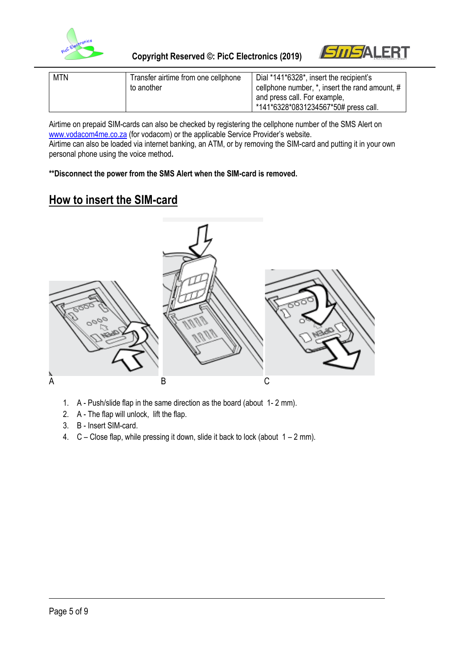



| <b>MTN</b> | Transfer airtime from one cellphone | Dial *141*6328*, insert the recipient's             |
|------------|-------------------------------------|-----------------------------------------------------|
|            | to another                          | cellphone number, $*$ , insert the rand amount, $#$ |
|            |                                     | and press call. For example,                        |
|            |                                     | *141*6328*0831234567*50# press call.                |

Airtime on prepaid SIM-cards can also be checked by registering the cellphone number of the SMS Alert on [www.vodacom4me.co.za](http://www.vodacom4me.co.za/) (for vodacom) or the applicable Service Provider's website. Airtime can also be loaded via internet banking, an ATM, or by removing the SIM-card and putting it in your own personal phone using the voice method**.** 

**\*\*Disconnect the power from the SMS Alert when the SIM-card is removed.**

# **How to insert the SIM-card**



- 1. A Push/slide flap in the same direction as the board (about 1- 2 mm).
- 2. A The flap will unlock, lift the flap.
- 3. B Insert SIM-card.
- 4.  $C -$  Close flap, while pressing it down, slide it back to lock (about  $1 2$  mm).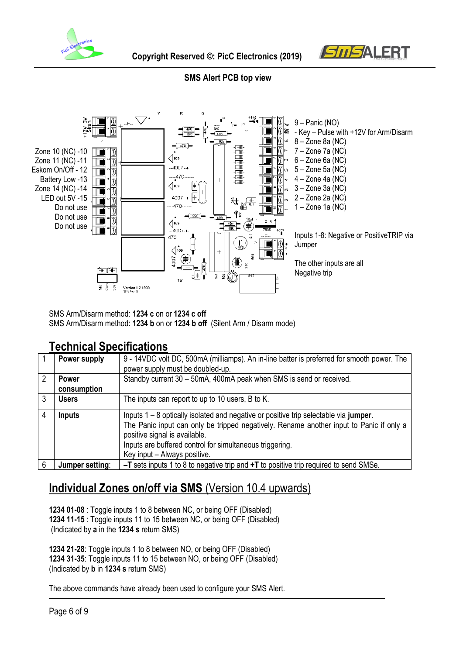

 **Copyright Reserved ©: PicC Electronics (2019)**



#### **SMS Alert PCB top view**



SMS Arm/Disarm method: **1234 c** on or **1234 c off** SMS Arm/Disarm method: **1234 b** on or **1234 b off** (Silent Arm / Disarm mode)

### **Technical Specifications**

|   | Power supply    | 9 - 14VDC volt DC, 500mA (milliamps). An in-line batter is preferred for smooth power. The |  |
|---|-----------------|--------------------------------------------------------------------------------------------|--|
|   |                 | power supply must be doubled-up.                                                           |  |
| 2 | <b>Power</b>    | Standby current 30 - 50mA, 400mA peak when SMS is send or received.                        |  |
|   | consumption     |                                                                                            |  |
|   | Users           | The inputs can report to up to 10 users, B to K.                                           |  |
|   |                 |                                                                                            |  |
| 4 | <b>Inputs</b>   | Inputs $1 - 8$ optically isolated and negative or positive trip selectable via jumper.     |  |
|   |                 | The Panic input can only be tripped negatively. Rename another input to Panic if only a    |  |
|   |                 | positive signal is available.                                                              |  |
|   |                 | Inputs are buffered control for simultaneous triggering.                                   |  |
|   |                 | Key input - Always positive.                                                               |  |
| 6 | Jumper setting: | $-T$ sets inputs 1 to 8 to negative trip and $+T$ to positive trip required to send SMSe.  |  |

# **Individual Zones on/off via SMS** (Version 10.4 upwards)

**1234 01-08** : Toggle inputs 1 to 8 between NC, or being OFF (Disabled) **1234 11-15** : Toggle inputs 11 to 15 between NC, or being OFF (Disabled) (Indicated by **a** in the **1234 s** return SMS)

**1234 21-28**: Toggle inputs 1 to 8 between NO, or being OFF (Disabled) **1234 31-35**: Toggle inputs 11 to 15 between NO, or being OFF (Disabled) (Indicated by **b** in **1234 s** return SMS)

The above commands have already been used to configure your SMS Alert.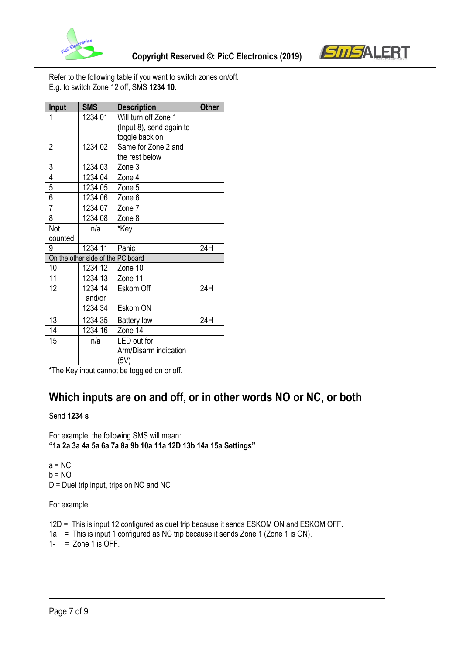



Refer to the following table if you want to switch zones on/off. E.g. to switch Zone 12 off, SMS **1234 10.**

| Input          | <b>SMS</b>                        | <b>Description</b>       | <b>Other</b> |
|----------------|-----------------------------------|--------------------------|--------------|
| 1              | 1234 01                           | Will turn off Zone 1     |              |
|                |                                   | (Input 8), send again to |              |
|                |                                   | toggle back on           |              |
| $\overline{2}$ | 1234 02                           | Same for Zone 2 and      |              |
|                |                                   | the rest below           |              |
| 3              | 1234 03                           | Zone 3                   |              |
| 4              | 1234 04                           | Zone 4                   |              |
| 5              | 1234 05                           | Zone 5                   |              |
| 6              | 1234 06                           | Zone 6                   |              |
| $\overline{7}$ | 1234 07                           | Zone 7                   |              |
| 8              | 1234 08                           | Zone 8                   |              |
| Not            | n/a                               | *Key                     |              |
| counted        |                                   |                          |              |
| 9              | 1234 11                           | Panic                    | 24H          |
|                | On the other side of the PC board |                          |              |
| 10             | 1234 12                           | Zone 10                  |              |
| 11             | 1234 13                           | Zone 11                  |              |
| 12             | 1234 14                           | Eskom Off                | 24H          |
|                | and/or                            |                          |              |
|                | 1234 34                           | Eskom ON                 |              |
| 13             | 1234 35                           | <b>Battery low</b>       | 24H          |
| 14             | 1234 16                           | Zone 14                  |              |
| 15             | n/a                               | LED out for              |              |
|                |                                   | Arm/Disarm indication    |              |
|                |                                   | (5V)                     |              |

\*The Key input cannot be toggled on or off.

# **Which inputs are on and off, or in other words NO or NC, or both**

Send **1234 s**

For example, the following SMS will mean: **"1a 2a 3a 4a 5a 6a 7a 8a 9b 10a 11a 12D 13b 14a 15a Settings"**

 $a = NC$  $b = NO$ D = Duel trip input, trips on NO and NC

For example:

12D = This is input 12 configured as duel trip because it sends ESKOM ON and ESKOM OFF.

1a = This is input 1 configured as NC trip because it sends Zone 1 (Zone 1 is ON).

 $1-$  = Zone 1 is OFF.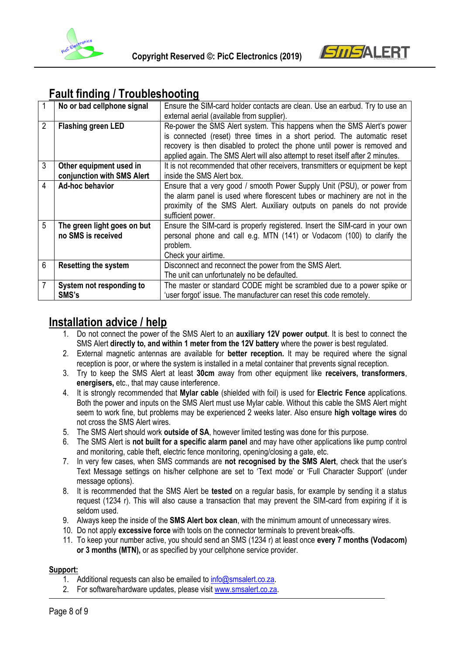



# **Fault finding / Troubleshooting**

|                | No or bad cellphone signal  | Ensure the SIM-card holder contacts are clean. Use an earbud. Try to use an<br>external aerial (available from supplier). |
|----------------|-----------------------------|---------------------------------------------------------------------------------------------------------------------------|
|                |                             |                                                                                                                           |
| $\overline{2}$ | <b>Flashing green LED</b>   | Re-power the SMS Alert system. This happens when the SMS Alert's power                                                    |
|                |                             | is connected (reset) three times in a short period. The automatic reset                                                   |
|                |                             | recovery is then disabled to protect the phone until power is removed and                                                 |
|                |                             | applied again. The SMS Alert will also attempt to reset itself after 2 minutes.                                           |
| 3              | Other equipment used in     | It is not recommended that other receivers, transmitters or equipment be kept                                             |
|                | conjunction with SMS Alert  | inside the SMS Alert box.                                                                                                 |
| $\overline{4}$ | Ad-hoc behavior             | Ensure that a very good / smooth Power Supply Unit (PSU), or power from                                                   |
|                |                             | the alarm panel is used where florescent tubes or machinery are not in the                                                |
|                |                             | proximity of the SMS Alert. Auxiliary outputs on panels do not provide                                                    |
|                |                             | sufficient power.                                                                                                         |
| 5              | The green light goes on but | Ensure the SIM-card is properly registered. Insert the SIM-card in your own                                               |
|                | no SMS is received          | personal phone and call e.g. MTN (141) or Vodacom (100) to clarify the                                                    |
|                |                             | problem.                                                                                                                  |
|                |                             |                                                                                                                           |
|                |                             | Check your airtime.                                                                                                       |
| 6              | <b>Resetting the system</b> | Disconnect and reconnect the power from the SMS Alert.                                                                    |
|                |                             | The unit can unfortunately no be defaulted.                                                                               |
|                | System not responding to    | The master or standard CODE might be scrambled due to a power spike or                                                    |
|                | SMS's                       | 'user forgot' issue. The manufacturer can reset this code remotely.                                                       |

## **Installation advice / help**

- 1. Do not connect the power of the SMS Alert to an **auxiliary 12V power output**. It is best to connect the SMS Alert **directly to, and within 1 meter from the 12V battery** where the power is best regulated.
- 2. External magnetic antennas are available for **better reception.** It may be required where the signal reception is poor, or where the system is installed in a metal container that prevents signal reception.
- 3. Try to keep the SMS Alert at least **30cm** away from other equipment like **receivers, transformers**, **energisers,** etc., that may cause interference.
- 4. It is strongly recommended that **Mylar cable** (shielded with foil) is used for **Electric Fence** applications. Both the power and inputs on the SMS Alert must use Mylar cable. Without this cable the SMS Alert might seem to work fine, but problems may be experienced 2 weeks later. Also ensure **high voltage wires** do not cross the SMS Alert wires.
- 5. The SMS Alert should work **outside of SA**, however limited testing was done for this purpose.
- 6. The SMS Alert is **not built for a specific alarm panel** and may have other applications like pump control and monitoring, cable theft, electric fence monitoring, opening/closing a gate, etc.
- 7. In very few cases, when SMS commands are **not recognised by the SMS Alert**, check that the user's Text Message settings on his/her cellphone are set to 'Text mode' or 'Full Character Support' (under message options).
- 8. It is recommended that the SMS Alert be **tested** on a regular basis, for example by sending it a status request (1234 r). This will also cause a transaction that may prevent the SIM-card from expiring if it is seldom used.
- 9. Always keep the inside of the **SMS Alert box clean**, with the minimum amount of unnecessary wires.
- 10. Do not apply **excessive force** with tools on the connector terminals to prevent break-offs.
- 11. To keep your number active, you should send an SMS (1234 r) at least once **every 7 months (Vodacom) or 3 months (MTN),** or as specified by your cellphone service provider.

#### **Support:**

- 1. Additional requests can also be emailed to [info@smsalert.co.za.](mailto:info@smsalert.co.za)
- 2. For software/hardware updates, please visit [www.smsalert.co.za.](http://www.smsalert.co.za/)